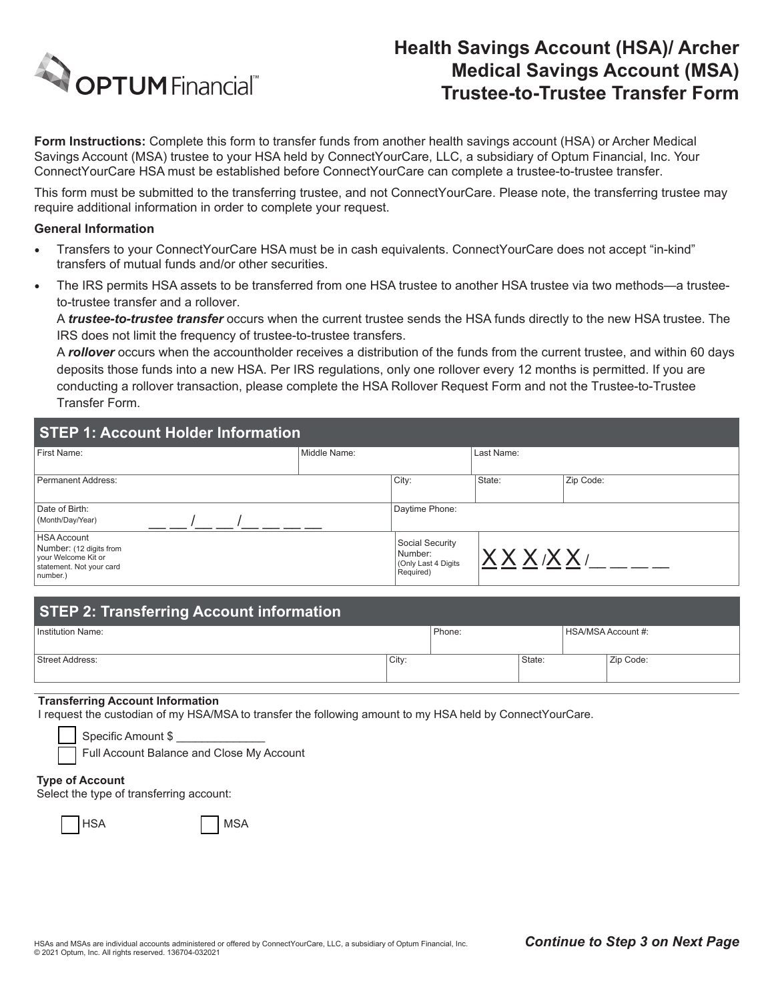

# **Health Savings Account (HSA)/ Archer Medical Savings Account (MSA) Trustee-to-Trustee Transfer Form**

**Form Instructions:** Complete this form to transfer funds from another health savings account (HSA) or Archer Medical Savings Account (MSA) trustee to your HSA held by ConnectYourCare, LLC, a subsidiary of Optum Financial, Inc. Your ConnectYourCare HSA must be established before ConnectYourCare can complete a trustee-to-trustee transfer.

This form must be submitted to the transferring trustee, and not ConnectYourCare. Please note, the transferring trustee may require additional information in order to complete your request.

### **General Information**

- Transfers to your ConnectYourCare HSA must be in cash equivalents. ConnectYourCare does not accept "in-kind" transfers of mutual funds and/or other securities.
- The IRS permits HSA assets to be transferred from one HSA trustee to another HSA trustee via two methods—a trusteeto-trustee transfer and a rollover.

A *trustee-to-trustee transfer* occurs when the current trustee sends the HSA funds directly to the new HSA trustee. The IRS does not limit the frequency of trustee-to-trustee transfers.

A *rollover* occurs when the accountholder receives a distribution of the funds from the current trustee, and within 60 days deposits those funds into a new HSA. Per IRS regulations, only one rollover every 12 months is permitted. If you are conducting a rollover transaction, please complete the HSA Rollover Request Form and not the Trustee-to-Trustee Transfer Form.

| STEP 1: Account Holder Information                                                                           |              |                                                                 |            |           |
|--------------------------------------------------------------------------------------------------------------|--------------|-----------------------------------------------------------------|------------|-----------|
| First Name:                                                                                                  | Middle Name: |                                                                 | Last Name: |           |
| Permanent Address:                                                                                           |              | City:                                                           | State:     | Zip Code: |
| Date of Birth:<br>(Month/Day/Year)                                                                           |              | Daytime Phone:                                                  |            |           |
| <b>HSA Account</b><br>Number: (12 digits from<br>your Welcome Kit or<br>statement. Not your card<br>number.) |              | Social Security<br>Number:<br>(Only Last 4 Digits)<br>Required) | XXXXXX/    |           |

| <b>STEP 2: Transferring Account information</b> |       |        |        |                    |           |
|-------------------------------------------------|-------|--------|--------|--------------------|-----------|
| Institution Name:                               |       | Phone: |        | HSA/MSA Account #: |           |
| Street Address:                                 | City: |        | State: |                    | Zip Code: |

### **Transferring Account Information**

I request the custodian of my HSA/MSA to transfer the following amount to my HSA held by ConnectYourCare.

| Specific Amount \$ |  |
|--------------------|--|
| $\blacksquare$     |  |

|  | Full Account Balance and Close My Account |  |  |
|--|-------------------------------------------|--|--|
|--|-------------------------------------------|--|--|

#### **Type of Account**

Select the type of transferring account:

| ×<br>v |
|--------|
|--------|